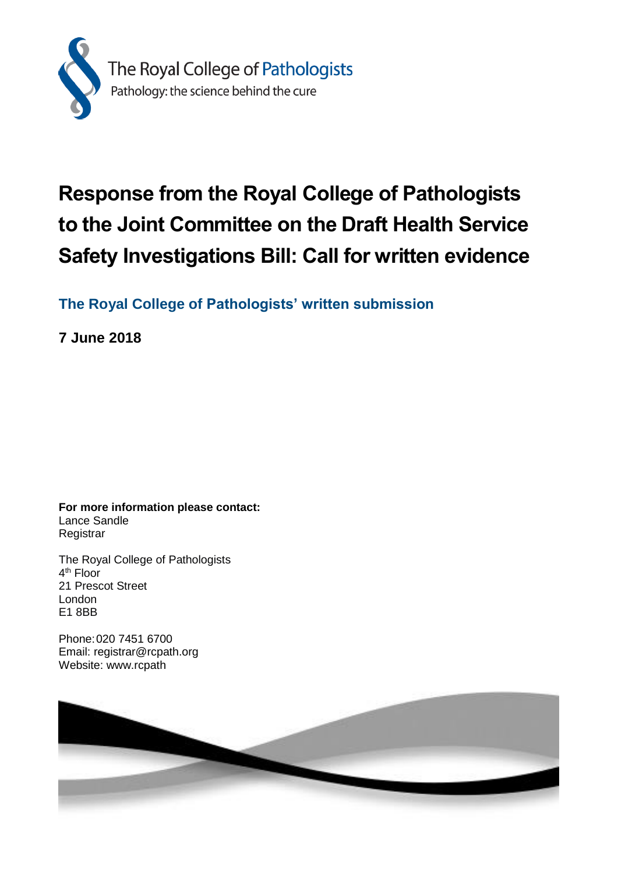

# **Response from the Royal College of Pathologists to the Joint Committee on the Draft Health Service Safety Investigations Bill: Call for written evidence**

**The Royal College of Pathologists' written submission**

**7 June 2018**

**For more information please contact:** Lance Sandle **Registrar** 

The Royal College of Pathologists 4<sup>th</sup> Floor 21 Prescot Street London E1 8BB

Phone:020 7451 6700 Email: registrar@rcpath.org Website: www.rcpath

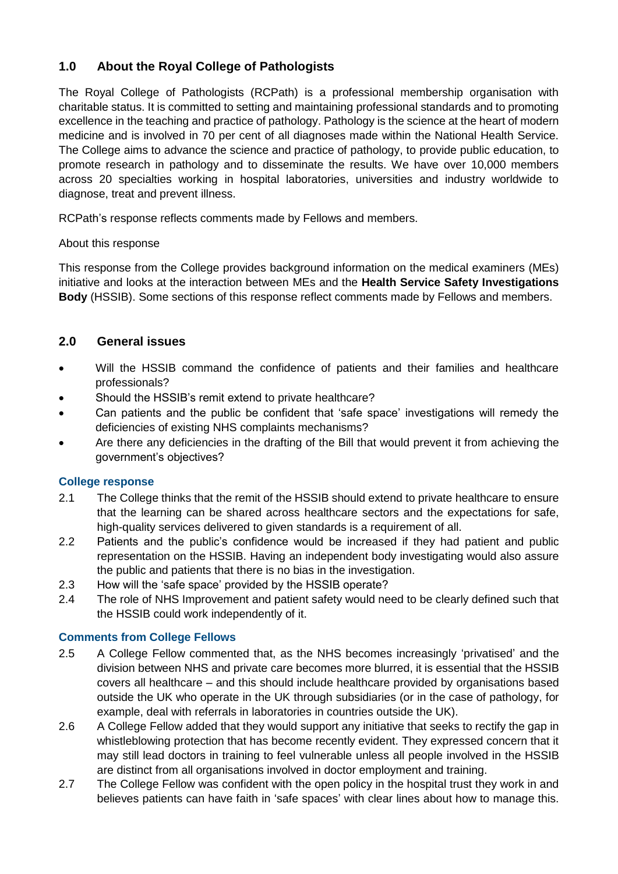# **1.0 About the Royal College of Pathologists**

The Royal College of Pathologists (RCPath) is a professional membership organisation with charitable status. It is committed to setting and maintaining professional standards and to promoting excellence in the teaching and practice of pathology. Pathology is the science at the heart of modern medicine and is involved in 70 per cent of all diagnoses made within the National Health Service. The College aims to advance the science and practice of pathology, to provide public education, to promote research in pathology and to disseminate the results. We have over 10,000 members across 20 specialties working in hospital laboratories, universities and industry worldwide to diagnose, treat and prevent illness.

RCPath's response reflects comments made by Fellows and members.

#### About this response

This response from the College provides background information on the medical examiners (MEs) initiative and looks at the interaction between MEs and the **Health Service Safety Investigations Body** (HSSIB). Some sections of this response reflect comments made by Fellows and members.

## **2.0 General issues**

- Will the HSSIB command the confidence of patients and their families and healthcare professionals?
- Should the HSSIB's remit extend to private healthcare?
- Can patients and the public be confident that 'safe space' investigations will remedy the deficiencies of existing NHS complaints mechanisms?
- Are there any deficiencies in the drafting of the Bill that would prevent it from achieving the government's objectives?

## **College response**

- 2.1 The College thinks that the remit of the HSSIB should extend to private healthcare to ensure that the learning can be shared across healthcare sectors and the expectations for safe, high-quality services delivered to given standards is a requirement of all.
- 2.2 Patients and the public's confidence would be increased if they had patient and public representation on the HSSIB. Having an independent body investigating would also assure the public and patients that there is no bias in the investigation.
- 2.3 How will the 'safe space' provided by the HSSIB operate?
- 2.4 The role of NHS Improvement and patient safety would need to be clearly defined such that the HSSIB could work independently of it.

## **Comments from College Fellows**

- 2.5 A College Fellow commented that, as the NHS becomes increasingly 'privatised' and the division between NHS and private care becomes more blurred, it is essential that the HSSIB covers all healthcare – and this should include healthcare provided by organisations based outside the UK who operate in the UK through subsidiaries (or in the case of pathology, for example, deal with referrals in laboratories in countries outside the UK).
- 2.6 A College Fellow added that they would support any initiative that seeks to rectify the gap in whistleblowing protection that has become recently evident. They expressed concern that it may still lead doctors in training to feel vulnerable unless all people involved in the HSSIB are distinct from all organisations involved in doctor employment and training.
- 2.7 The College Fellow was confident with the open policy in the hospital trust they work in and believes patients can have faith in 'safe spaces' with clear lines about how to manage this.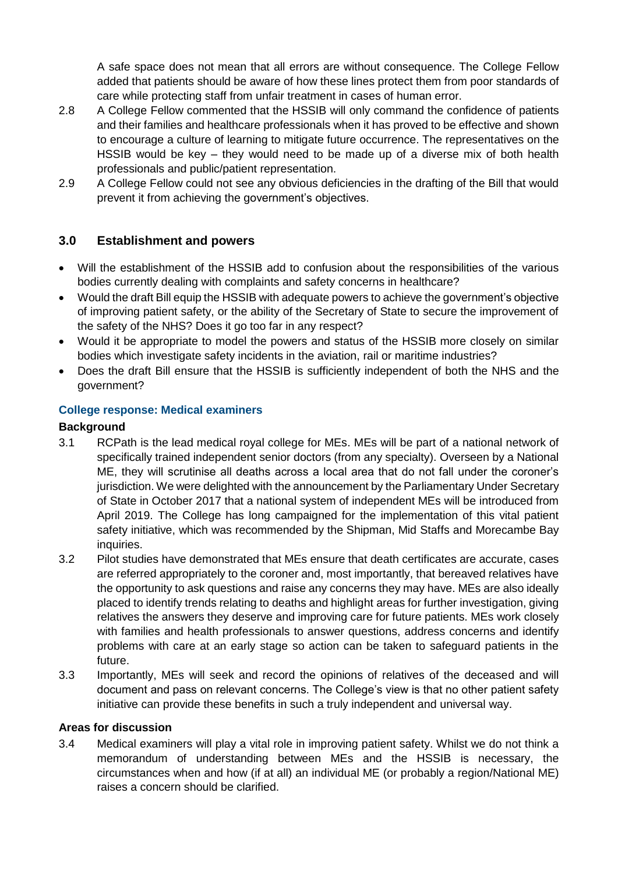A safe space does not mean that all errors are without consequence. The College Fellow added that patients should be aware of how these lines protect them from poor standards of care while protecting staff from unfair treatment in cases of human error.

- 2.8 A College Fellow commented that the HSSIB will only command the confidence of patients and their families and healthcare professionals when it has proved to be effective and shown to encourage a culture of learning to mitigate future occurrence. The representatives on the HSSIB would be key – they would need to be made up of a diverse mix of both health professionals and public/patient representation.
- 2.9 A College Fellow could not see any obvious deficiencies in the drafting of the Bill that would prevent it from achieving the government's objectives.

## **3.0 Establishment and powers**

- Will the establishment of the HSSIB add to confusion about the responsibilities of the various bodies currently dealing with complaints and safety concerns in healthcare?
- Would the draft Bill equip the HSSIB with adequate powers to achieve the government's objective of improving patient safety, or the ability of the Secretary of State to secure the improvement of the safety of the NHS? Does it go too far in any respect?
- Would it be appropriate to model the powers and status of the HSSIB more closely on similar bodies which investigate safety incidents in the aviation, rail or maritime industries?
- Does the draft Bill ensure that the HSSIB is sufficiently independent of both the NHS and the government?

## **College response: Medical examiners**

#### **Background**

- 3.1 RCPath is the lead medical royal college for MEs. MEs will be part of a national network of specifically trained independent senior doctors (from any specialty). Overseen by a National ME, they will scrutinise all deaths across a local area that do not fall under the coroner's jurisdiction. We were delighted with the announcement by the Parliamentary Under Secretary of State in October 2017 that a national system of independent MEs will be introduced from April 2019. The College has long campaigned for the implementation of this vital patient safety initiative, which was recommended by the Shipman, Mid Staffs and Morecambe Bay inquiries.
- 3.2 Pilot studies have demonstrated that MEs ensure that death certificates are accurate, cases are referred appropriately to the coroner and, most importantly, that bereaved relatives have the opportunity to ask questions and raise any concerns they may have. MEs are also ideally placed to identify trends relating to deaths and highlight areas for further investigation, giving relatives the answers they deserve and improving care for future patients. MEs work closely with families and health professionals to answer questions, address concerns and identify problems with care at an early stage so action can be taken to safeguard patients in the future.
- 3.3 Importantly, MEs will seek and record the opinions of relatives of the deceased and will document and pass on relevant concerns. The College's view is that no other patient safety initiative can provide these benefits in such a truly independent and universal way.

#### **Areas for discussion**

3.4 Medical examiners will play a vital role in improving patient safety. Whilst we do not think a memorandum of understanding between MEs and the HSSIB is necessary, the circumstances when and how (if at all) an individual ME (or probably a region/National ME) raises a concern should be clarified.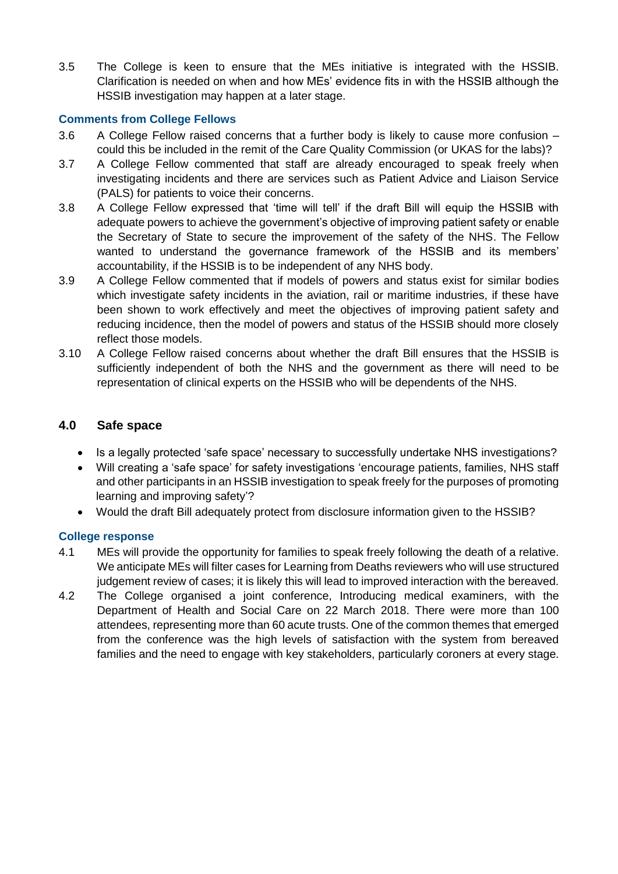3.5 The College is keen to ensure that the MEs initiative is integrated with the HSSIB. Clarification is needed on when and how MEs' evidence fits in with the HSSIB although the HSSIB investigation may happen at a later stage.

### **Comments from College Fellows**

- 3.6 A College Fellow raised concerns that a further body is likely to cause more confusion could this be included in the remit of the Care Quality Commission (or UKAS for the labs)?
- 3.7 A College Fellow commented that staff are already encouraged to speak freely when investigating incidents and there are services such as Patient Advice and Liaison Service (PALS) for patients to voice their concerns.
- 3.8 A College Fellow expressed that 'time will tell' if the draft Bill will equip the HSSIB with adequate powers to achieve the government's objective of improving patient safety or enable the Secretary of State to secure the improvement of the safety of the NHS. The Fellow wanted to understand the governance framework of the HSSIB and its members' accountability, if the HSSIB is to be independent of any NHS body.
- 3.9 A College Fellow commented that if models of powers and status exist for similar bodies which investigate safety incidents in the aviation, rail or maritime industries, if these have been shown to work effectively and meet the objectives of improving patient safety and reducing incidence, then the model of powers and status of the HSSIB should more closely reflect those models.
- 3.10 A College Fellow raised concerns about whether the draft Bill ensures that the HSSIB is sufficiently independent of both the NHS and the government as there will need to be representation of clinical experts on the HSSIB who will be dependents of the NHS.

## **4.0 Safe space**

- Is a legally protected 'safe space' necessary to successfully undertake NHS investigations?
- Will creating a 'safe space' for safety investigations 'encourage patients, families, NHS staff and other participants in an HSSIB investigation to speak freely for the purposes of promoting learning and improving safety'?
- Would the draft Bill adequately protect from disclosure information given to the HSSIB?

#### **College response**

- 4.1 MEs will provide the opportunity for families to speak freely following the death of a relative. We anticipate MEs will filter cases for Learning from Deaths reviewers who will use structured judgement review of cases; it is likely this will lead to improved interaction with the bereaved.
- 4.2 The College organised a joint conference, Introducing medical examiners, with the Department of Health and Social Care on 22 March 2018. There were more than 100 attendees, representing more than 60 acute trusts. One of the common themes that emerged from the conference was the high levels of satisfaction with the system from bereaved families and the need to engage with key stakeholders, particularly coroners at every stage.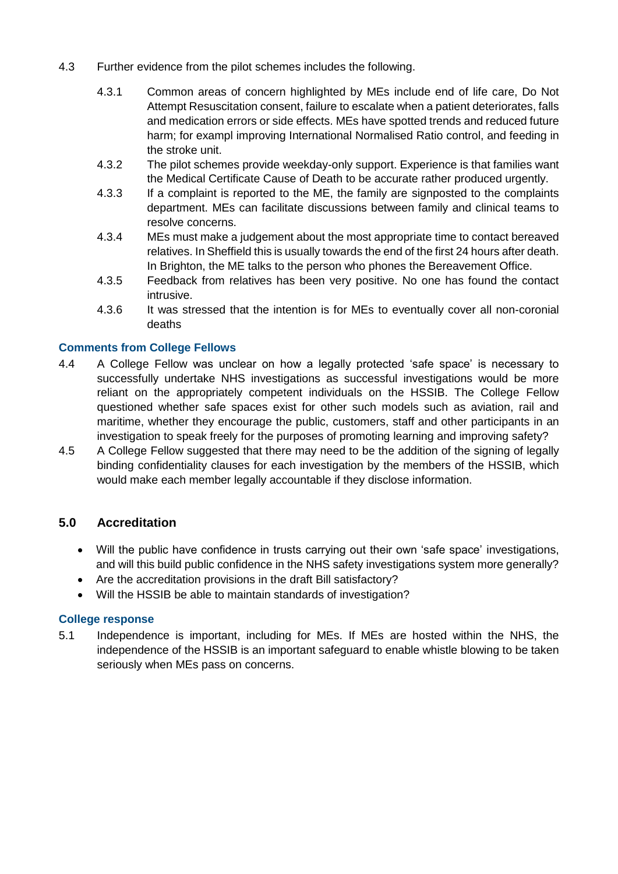- 4.3 Further evidence from the pilot schemes includes the following.
	- 4.3.1 Common areas of concern highlighted by MEs include end of life care, Do Not Attempt Resuscitation consent, failure to escalate when a patient deteriorates, falls and medication errors or side effects. MEs have spotted trends and reduced future harm; for exampl improving International Normalised Ratio control, and feeding in the stroke unit.
	- 4.3.2 The pilot schemes provide weekday-only support. Experience is that families want the Medical Certificate Cause of Death to be accurate rather produced urgently.
	- 4.3.3 If a complaint is reported to the ME, the family are signposted to the complaints department. MEs can facilitate discussions between family and clinical teams to resolve concerns.
	- 4.3.4 MEs must make a judgement about the most appropriate time to contact bereaved relatives. In Sheffield this is usually towards the end of the first 24 hours after death. In Brighton, the ME talks to the person who phones the Bereavement Office.
	- 4.3.5 Feedback from relatives has been very positive. No one has found the contact intrusive.
	- 4.3.6 It was stressed that the intention is for MEs to eventually cover all non-coronial deaths

#### **Comments from College Fellows**

- 4.4 A College Fellow was unclear on how a legally protected 'safe space' is necessary to successfully undertake NHS investigations as successful investigations would be more reliant on the appropriately competent individuals on the HSSIB. The College Fellow questioned whether safe spaces exist for other such models such as aviation, rail and maritime, whether they encourage the public, customers, staff and other participants in an investigation to speak freely for the purposes of promoting learning and improving safety?
- 4.5 A College Fellow suggested that there may need to be the addition of the signing of legally binding confidentiality clauses for each investigation by the members of the HSSIB, which would make each member legally accountable if they disclose information.

## **5.0 Accreditation**

- Will the public have confidence in trusts carrying out their own 'safe space' investigations, and will this build public confidence in the NHS safety investigations system more generally?
- Are the accreditation provisions in the draft Bill satisfactory?
- Will the HSSIB be able to maintain standards of investigation?

#### **College response**

5.1 Independence is important, including for MEs. If MEs are hosted within the NHS, the independence of the HSSIB is an important safeguard to enable whistle blowing to be taken seriously when MEs pass on concerns.